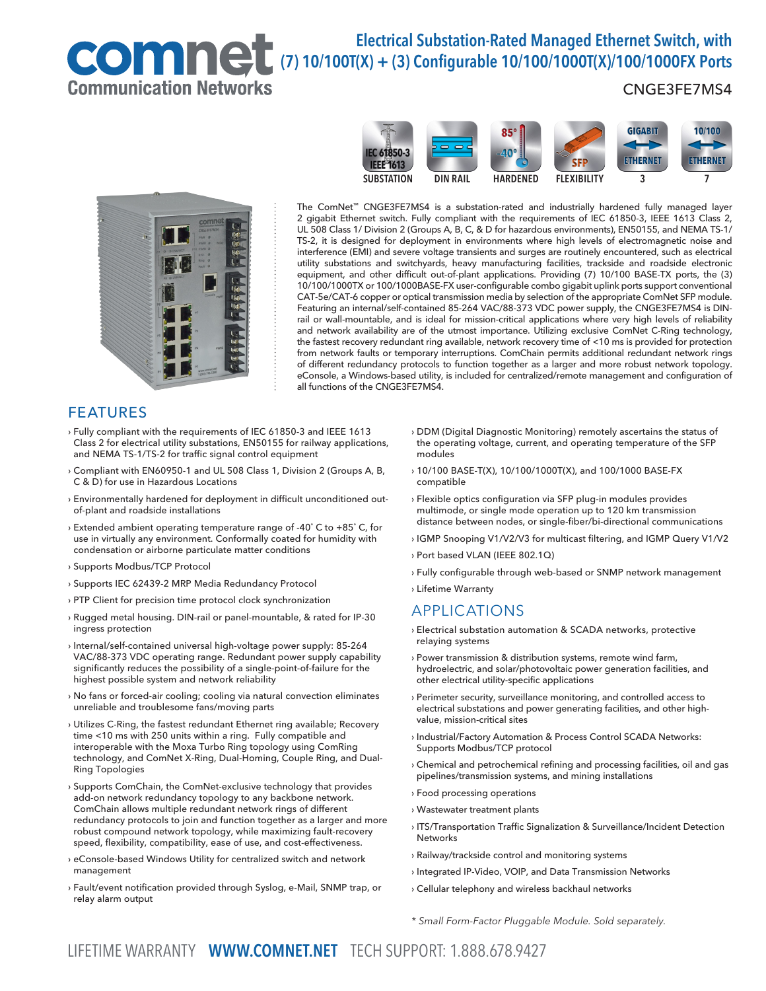# Communication Networks

# Electrical Substation-Rated Managed Ethernet Switch, with ELECTRICAL DISTATION-RATEG MANAGED ETHERNICH, WIth<br>COMMUNICAL (7) 10/100T(X) + (3) Configurable 10/100/1000T(X)/100/1000FX Ports

## CNGE3FE7MS4





The ComNet™ CNGE3FE7MS4 is a substation-rated and industrially hardened fully managed layer 2 gigabit Ethernet switch. Fully compliant with the requirements of IEC 61850-3, IEEE 1613 Class 2, UL 508 Class 1/ Division 2 (Groups A, B, C, & D for hazardous environments), EN50155, and NEMA TS-1/ TS-2, it is designed for deployment in environments where high levels of electromagnetic noise and interference (EMI) and severe voltage transients and surges are routinely encountered, such as electrical utility substations and switchyards, heavy manufacturing facilities, trackside and roadside electronic equipment, and other difficult out-of-plant applications. Providing (7) 10/100 BASE-TX ports, the (3) 10/100/1000TX or 100/1000BASE-FX user-configurable combo gigabit uplink ports support conventional CAT-5e/CAT-6 copper or optical transmission media by selection of the appropriate ComNet SFP module. Featuring an internal/self-contained 85-264 VAC/88-373 VDC power supply, the CNGE3FE7MS4 is DINrail or wall-mountable, and is ideal for mission-critical applications where very high levels of reliability and network availability are of the utmost importance. Utilizing exclusive ComNet C-Ring technology, the fastest recovery redundant ring available, network recovery time of <10 ms is provided for protection from network faults or temporary interruptions. ComChain permits additional redundant network rings of different redundancy protocols to function together as a larger and more robust network topology. eConsole, a Windows-based utility, is included for centralized/remote management and configuration of all functions of the CNGE3FE7MS4.

## FEATURES

- › Fully compliant with the requirements of IEC 61850-3 and IEEE 1613 Class 2 for electrical utility substations, EN50155 for railway applications, and NEMA TS-1/TS-2 for traffic signal control equipment
- › Compliant with EN60950-1 and UL 508 Class 1, Division 2 (Groups A, B, C & D) for use in Hazardous Locations
- › Environmentally hardened for deployment in difficult unconditioned outof-plant and roadside installations
- › Extended ambient operating temperature range of -40˚ C to +85˚ C, for use in virtually any environment. Conformally coated for humidity with condensation or airborne particulate matter conditions
- › Supports Modbus/TCP Protocol
- › Supports IEC 62439-2 MRP Media Redundancy Protocol
- › PTP Client for precision time protocol clock synchronization
- › Rugged metal housing. DIN-rail or panel-mountable, & rated for IP-30 ingress protection
- › Internal/self-contained universal high-voltage power supply: 85-264 VAC/88-373 VDC operating range. Redundant power supply capability significantly reduces the possibility of a single-point-of-failure for the highest possible system and network reliability
- › No fans or forced-air cooling; cooling via natural convection eliminates unreliable and troublesome fans/moving parts
- › Utilizes C-Ring, the fastest redundant Ethernet ring available; Recovery time <10 ms with 250 units within a ring. Fully compatible and interoperable with the Moxa Turbo Ring topology using ComRing technology, and ComNet X-Ring, Dual-Homing, Couple Ring, and Dual-Ring Topologies
- › Supports ComChain, the ComNet-exclusive technology that provides add-on network redundancy topology to any backbone network. ComChain allows multiple redundant network rings of different redundancy protocols to join and function together as a larger and more robust compound network topology, while maximizing fault-recovery speed, flexibility, compatibility, ease of use, and cost-effectiveness.
- › eConsole-based Windows Utility for centralized switch and network management
- › Fault/event notification provided through Syslog, e-Mail, SNMP trap, or relay alarm output
- › DDM (Digital Diagnostic Monitoring) remotely ascertains the status of the operating voltage, current, and operating temperature of the SFP modules
- › 10/100 BASE-T(X), 10/100/1000T(X), and 100/1000 BASE-FX compatible
- › Flexible optics configuration via SFP plug-in modules provides multimode, or single mode operation up to 120 km transmission distance between nodes, or single-fiber/bi-directional communications
- › IGMP Snooping V1/V2/V3 for multicast filtering, and IGMP Query V1/V2
- › Port based VLAN (IEEE 802.1Q)
- › Fully configurable through web-based or SNMP network management
- › Lifetime Warranty

## APPLICATIONS

- › Electrical substation automation & SCADA networks, protective relaying systems
- › Power transmission & distribution systems, remote wind farm, hydroelectric, and solar/photovoltaic power generation facilities, and other electrical utility-specific applications
- › Perimeter security, surveillance monitoring, and controlled access to electrical substations and power generating facilities, and other highvalue, mission-critical sites
- › Industrial/Factory Automation & Process Control SCADA Networks: Supports Modbus/TCP protocol
- › Chemical and petrochemical refining and processing facilities, oil and gas pipelines/transmission systems, and mining installations
- › Food processing operations
- › Wastewater treatment plants
- › ITS/Transportation Traffic Signalization & Surveillance/Incident Detection **Networks**
- › Railway/trackside control and monitoring systems
- › Integrated IP-Video, VOIP, and Data Transmission Networks
- › Cellular telephony and wireless backhaul networks
- \* Small Form-Factor Pluggable Module. Sold separately.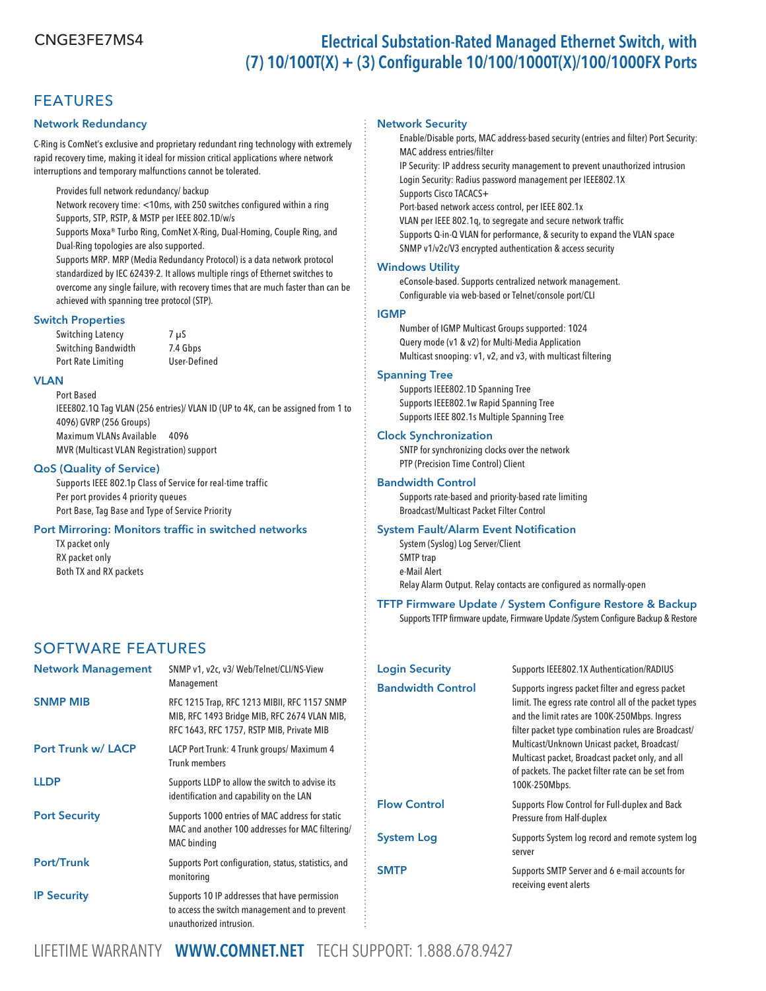## FEATURES

## Network Redundancy

C-Ring is ComNet's exclusive and proprietary redundant ring technology with extremely rapid recovery time, making it ideal for mission critical applications where network interruptions and temporary malfunctions cannot be tolerated.

Provides full network redundancy/ backup

Network recovery time: <10ms, with 250 switches configured within a ring Supports, STP, RSTP, & MSTP per IEEE 802.1D/w/s

 Supports Moxa® Turbo Ring, ComNet X-Ring, Dual-Homing, Couple Ring, and Dual-Ring topologies are also supported.

 Supports MRP. MRP (Media Redundancy Protocol) is a data network protocol standardized by IEC 62439-2. It allows multiple rings of Ethernet switches to overcome any single failure, with recovery times that are much faster than can be achieved with spanning tree protocol (STP).

## Switch Properties

Switching Latency 7 µS Switching Bandwidth 7.4 Gbps Port Rate Limiting User-Defined

#### VLAN

Port Based IEEE802.1Q Tag VLAN (256 entries)/ VLAN ID (UP to 4K, can be assigned from 1 to 4096) GVRP (256 Groups) Maximum VLANs Available 4096 MVR (Multicast VLAN Registration) support

## QoS (Quality of Service)

Supports IEEE 802.1p Class of Service for real-time traffic Per port provides 4 priority queues Port Base, Tag Base and Type of Service Priority

## Port Mirroring: Monitors traffic in switched networks

TX packet only RX packet only Both TX and RX packets

## SOFTWARE FEATURES

| <b>Network Management</b> | SNMP v1, v2c, v3/ Web/Telnet/CLI/NS-View<br>Management                                                                                    |
|---------------------------|-------------------------------------------------------------------------------------------------------------------------------------------|
| <b>SNMP MIB</b>           | RFC 1215 Trap, RFC 1213 MIBII, RFC 1157 SNMP<br>MIB, RFC 1493 Bridge MIB, RFC 2674 VLAN MIB,<br>RFC 1643, RFC 1757, RSTP MIB, Private MIB |
| <b>Port Trunk w/ LACP</b> | LACP Port Trunk: 4 Trunk groups/ Maximum 4<br><b>Trunk members</b>                                                                        |
| <b>LLDP</b>               | Supports LLDP to allow the switch to advise its<br>identification and capability on the LAN                                               |
| <b>Port Security</b>      | Supports 1000 entries of MAC address for static<br>MAC and another 100 addresses for MAC filtering/<br>MAC binding                        |
| <b>Port/Trunk</b>         | Supports Port configuration, status, statistics, and<br>monitoring                                                                        |
| <b>IP Security</b>        | Supports 10 IP addresses that have permission<br>to access the switch management and to prevent<br>unauthorized intrusion.                |

#### Network Security

 Enable/Disable ports, MAC address-based security (entries and filter) Port Security: MAC address entries/filter

 IP Security: IP address security management to prevent unauthorized intrusion Login Security: Radius password management per IEEE802.1X Supports Cisco TACACS+

Port-based network access control, per IEEE 802.1x

VLAN per IEEE 802.1q, to segregate and secure network traffic

 Supports Q-in-Q VLAN for performance, & security to expand the VLAN space SNMP v1/v2c/V3 encrypted authentication & access security

## Windows Utility

 eConsole-based. Supports centralized network management. Configurable via web-based or Telnet/console port/CLI

#### IGMP

Number of IGMP Multicast Groups supported: 1024 Query mode (v1 & v2) for Multi-Media Application Multicast snooping: v1, v2, and v3, with multicast filtering

#### Spanning Tree

Supports IEEE802.1D Spanning Tree Supports IEEE802.1w Rapid Spanning Tree Supports IEEE 802.1s Multiple Spanning Tree

## Clock Synchronization

SNTP for synchronizing clocks over the network PTP (Precision Time Control) Client

## Bandwidth Control

Supports rate-based and priority-based rate limiting Broadcast/Multicast Packet Filter Control

## System Fault/Alarm Event Notification

System (Syslog) Log Server/Client SMTP trap e-Mail Alert Relay Alarm Output. Relay contacts are configured as normally-open

## TFTP Firmware Update / System Configure Restore & Backup

Supports TFTP firmware update, Firmware Update /System Configure Backup & Restore

| <b>Login Security</b>    | Supports IEEE802.1X Authentication/RADIUS                                                                                                                                                                                                                                                                                                                                                     |
|--------------------------|-----------------------------------------------------------------------------------------------------------------------------------------------------------------------------------------------------------------------------------------------------------------------------------------------------------------------------------------------------------------------------------------------|
| <b>Bandwidth Control</b> | Supports ingress packet filter and egress packet<br>limit. The egress rate control all of the packet types<br>and the limit rates are 100K-250Mbps. Ingress<br>filter packet type combination rules are Broadcast/<br>Multicast/Unknown Unicast packet, Broadcast/<br>Multicast packet, Broadcast packet only, and all<br>of packets. The packet filter rate can be set from<br>100K-250Mbps. |
| <b>Flow Control</b>      | Supports Flow Control for Full-duplex and Back<br>Pressure from Half-duplex                                                                                                                                                                                                                                                                                                                   |
| <b>System Log</b>        | Supports System log record and remote system log<br>server                                                                                                                                                                                                                                                                                                                                    |
| SMTP                     | Supports SMTP Server and 6 e-mail accounts for<br>receiving event alerts                                                                                                                                                                                                                                                                                                                      |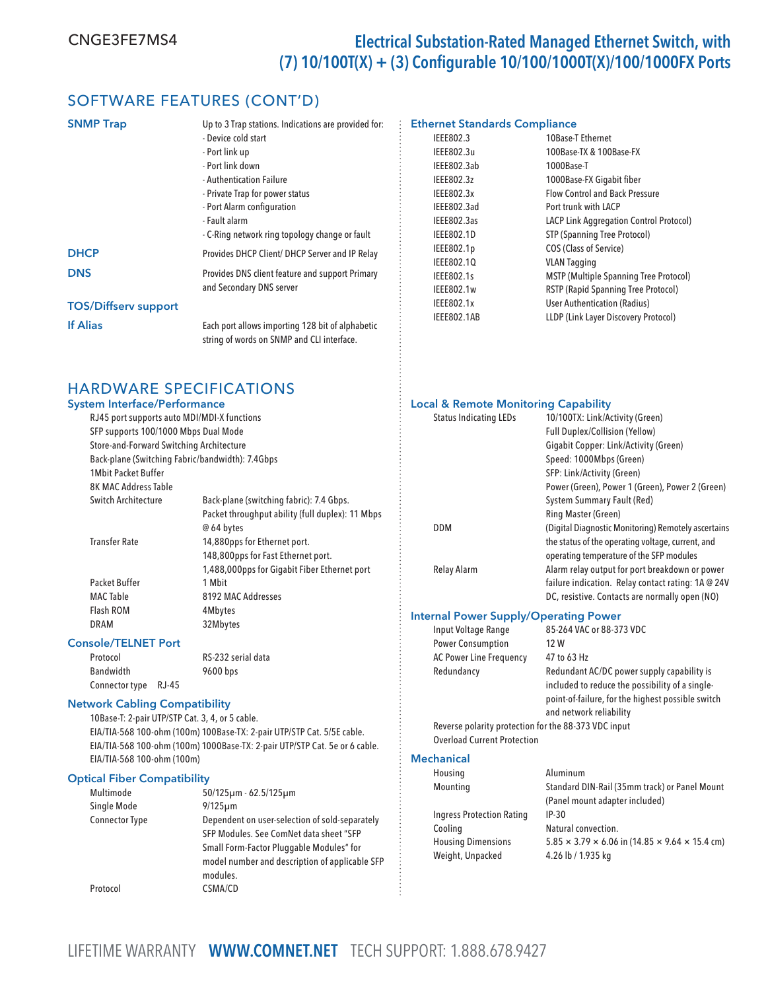## SOFTWARE FEATURES (CONT'D)

| <b>SNMP Trap</b>            | Up to 3 Trap stations. Indications are provided for:<br>- Device cold start<br>- Port link up<br>- Port link down<br>- Authentication Failure<br>- Private Trap for power status<br>- Port Alarm configuration<br>- Fault alarm<br>- C-Ring network ring topology change or fault |
|-----------------------------|-----------------------------------------------------------------------------------------------------------------------------------------------------------------------------------------------------------------------------------------------------------------------------------|
| <b>DHCP</b>                 | Provides DHCP Client/ DHCP Server and IP Relay                                                                                                                                                                                                                                    |
| <b>DNS</b>                  | Provides DNS client feature and support Primary<br>and Secondary DNS server                                                                                                                                                                                                       |
| <b>TOS/Diffserv support</b> |                                                                                                                                                                                                                                                                                   |
| <b>If Alias</b>             | Each port allows importing 128 bit of alphabetic<br>string of words on SNMP and CLI interface.                                                                                                                                                                                    |

## HARDWARE SPECIFICATIONS

## System Interface/Performance

| SFP supports 100/1000 Mbps Dual Mode<br>Store-and-Forward Switching Architecture<br><b>1Mbit Packet Buffer</b><br><b>8K MAC Address Table</b> | RJ45 port supports auto MDI/MDI-X functions<br>Back-plane (Switching Fabric/bandwidth): 7.4Gbps |
|-----------------------------------------------------------------------------------------------------------------------------------------------|-------------------------------------------------------------------------------------------------|
| Switch Architecture                                                                                                                           | Back-plane (switching fabric): 7.4 Gbps.                                                        |
|                                                                                                                                               | Packet throughput ability (full duplex): 11 Mbps                                                |
|                                                                                                                                               | @ 64 bytes                                                                                      |
| <b>Transfer Rate</b>                                                                                                                          | 14,880pps for Ethernet port.                                                                    |
|                                                                                                                                               | 148,800pps for Fast Ethernet port.                                                              |
|                                                                                                                                               | 1,488,000pps for Gigabit Fiber Ethernet port                                                    |
| Packet Buffer                                                                                                                                 | 1 Mhit                                                                                          |
| <b>MAC</b> Table                                                                                                                              | 8192 MAC Addresses                                                                              |
| Flash ROM                                                                                                                                     | 4Mbytes                                                                                         |
| DRAM                                                                                                                                          | 32Mbytes                                                                                        |
|                                                                                                                                               |                                                                                                 |

## Console/TELNET Port

| Protocol         |       | RS-232 serial data |
|------------------|-------|--------------------|
| <b>Bandwidth</b> |       | 9600 bps           |
| Connector type   | RJ-45 |                    |

## Network Cabling Compatibility

10Base-T: 2-pair UTP/STP Cat. 3, 4, or 5 cable. EIA/TIA-568 100-ohm (100m) 100Base-TX: 2-pair UTP/STP Cat. 5/5E cable. EIA/TIA-568 100-ohm (100m) 1000Base-TX: 2-pair UTP/STP Cat. 5e or 6 cable. EIA/TIA-568 100-ohm (100m)

#### Optical Fiber Compatibility

| Multimode             | $50/125 \mu m - 62.5/125 \mu m$                |
|-----------------------|------------------------------------------------|
| Single Mode           | $9/125 \mu m$                                  |
| <b>Connector Type</b> | Dependent on user-selection of sold-separately |
|                       | SFP Modules. See ComNet data sheet "SFP        |
|                       | Small Form-Factor Pluggable Modules" for       |
|                       | model number and description of applicable SFP |
|                       | modules.                                       |
| Protocol              | CSMA/CD                                        |

#### Ethernet Standards Compliance

| IEEE802.3          | 10Base-T Ethernet                              |
|--------------------|------------------------------------------------|
| IEEE802.3u         | 100Base-TX & 100Base-FX                        |
| IEEE802.3ab        | 1000Base-T                                     |
| IEEE802.3z         | 1000Base-FX Gigabit fiber                      |
| IEEE802.3x         | <b>Flow Control and Back Pressure</b>          |
| IEEE802.3ad        | Port trunk with LACP                           |
| IEEE802.3as        | <b>LACP Link Aggregation Control Protocol)</b> |
| <b>IEEE802.1D</b>  | STP (Spanning Tree Protocol)                   |
| IEEE802.1p         | <b>COS (Class of Service)</b>                  |
| IEEE802.10         | <b>VLAN Tagging</b>                            |
| IEEE802.1s         | <b>MSTP (Multiple Spanning Tree Protocol)</b>  |
| IEEE802.1w         | <b>RSTP (Rapid Spanning Tree Protocol)</b>     |
| IEEE802.1x         | <b>User Authentication (Radius)</b>            |
| <b>IEEE802.1AB</b> | LLDP (Link Layer Discovery Protocol)           |
|                    |                                                |

## Local & Remote Monitoring Capability

| <b>Status Indicating LEDs</b> | 10/100TX: Link/Activity (Green)                     |
|-------------------------------|-----------------------------------------------------|
|                               | <b>Full Duplex/Collision (Yellow)</b>               |
|                               | Gigabit Copper: Link/Activity (Green)               |
|                               | Speed: 1000Mbps (Green)                             |
|                               | SFP: Link/Activity (Green)                          |
|                               | Power (Green), Power 1 (Green), Power 2 (Green)     |
|                               | System Summary Fault (Red)                          |
|                               | <b>Ring Master (Green)</b>                          |
| <b>DDM</b>                    | (Digital Diagnostic Monitoring) Remotely ascertains |
|                               | the status of the operating voltage, current, and   |
|                               | operating temperature of the SFP modules            |
| Relay Alarm                   | Alarm relay output for port breakdown or power      |
|                               | failure indication. Relay contact rating: 1A @ 24V  |
|                               | DC, resistive. Contacts are normally open (NO)      |

#### Internal Power Supply/Operating Power

| Input Voltage Range                                  | 85-264 VAC or 88-373 VDC                                                                                                                                                      |
|------------------------------------------------------|-------------------------------------------------------------------------------------------------------------------------------------------------------------------------------|
| <b>Power Consumption</b>                             | 12 W                                                                                                                                                                          |
| <b>AC Power Line Frequency</b>                       | 47 to 63 Hz                                                                                                                                                                   |
| Redundancy                                           | Redundant AC/DC power supply capability is<br>included to reduce the possibility of a single-<br>point-of-failure, for the highest possible switch<br>and network reliability |
| Reverse polarity protection for the 88-373 VDC input |                                                                                                                                                                               |
| <b>Overload Current Protection</b>                   |                                                                                                                                                                               |

#### **Mechanical**

| Housing                          | Aluminum                                                                 |
|----------------------------------|--------------------------------------------------------------------------|
| Mounting                         | Standard DIN-Rail (35mm track) or Panel Mount                            |
|                                  | (Panel mount adapter included)                                           |
| <b>Ingress Protection Rating</b> | $IP-30$                                                                  |
| Cooling                          | Natural convection.                                                      |
| <b>Housing Dimensions</b>        | $5.85 \times 3.79 \times 6.06$ in (14.85 $\times$ 9.64 $\times$ 15.4 cm) |
| Weight, Unpacked                 | 4.26 lb / 1.935 kg                                                       |
|                                  |                                                                          |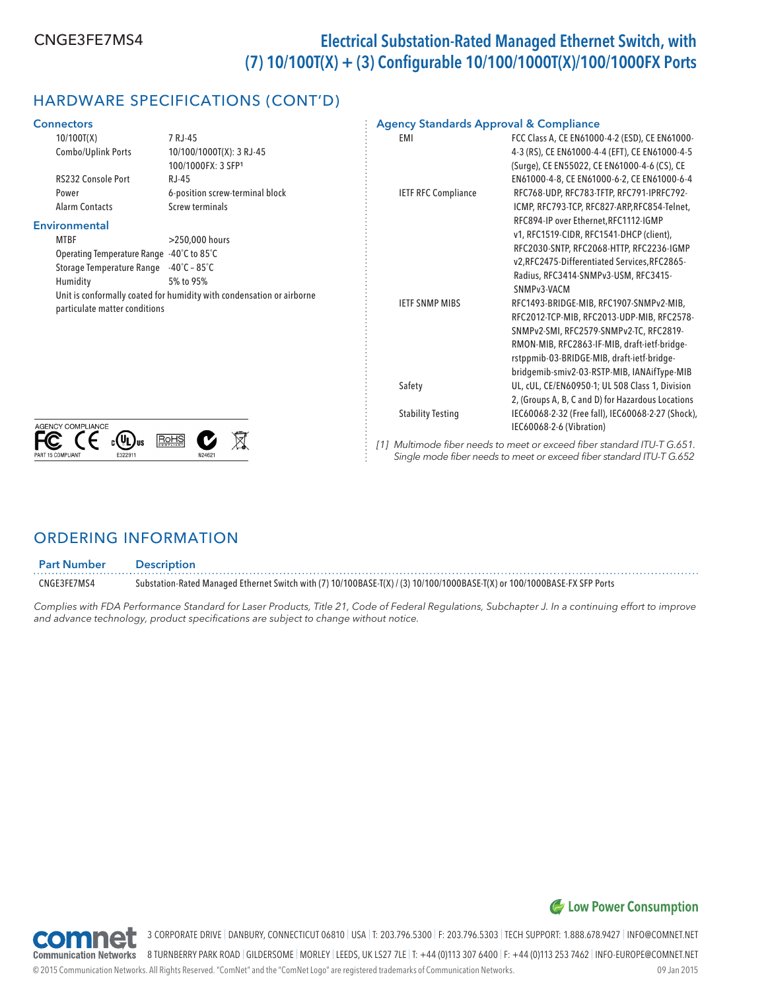# HARDWARE SPECIFICATIONS (CONT'D)

| <b>Connectors</b>                         |                                                                                    | <b>Agency Standards Approval &amp; Compliance</b> |                                                                                                                                                                                                                                                                               |
|-------------------------------------------|------------------------------------------------------------------------------------|---------------------------------------------------|-------------------------------------------------------------------------------------------------------------------------------------------------------------------------------------------------------------------------------------------------------------------------------|
| 10/100T(X)<br>Combo/Uplink Ports          | 7 RJ-45<br>10/100/1000T(X): 3 RJ-45<br>100/1000FX: 3 SFP1                          | EMI                                               | FCC Class A, CE EN61000-4-2 (ESD), CE EN61000-<br>4-3 (RS), CE EN61000-4-4 (EFT), CE EN61000-4-5<br>(Surge), CE EN55022, CE EN61000-4-6 (CS), CE                                                                                                                              |
| RS232 Console Port                        | $RJ-45$                                                                            |                                                   | EN61000-4-8, CE EN61000-6-2, CE EN61000-6-4                                                                                                                                                                                                                                   |
| Power                                     | 6-position screw-terminal block                                                    | <b>IETF RFC Compliance</b>                        | RFC768-UDP, RFC783-TFTP, RFC791-IPRFC792-                                                                                                                                                                                                                                     |
| <b>Alarm Contacts</b>                     | Screw terminals                                                                    |                                                   | ICMP, RFC793-TCP, RFC827-ARP, RFC854-Telnet,                                                                                                                                                                                                                                  |
| Environmental<br><b>MTBF</b>              | >250,000 hours                                                                     |                                                   | RFC894-IP over Ethernet, RFC1112-IGMP<br>v1, RFC1519-CIDR, RFC1541-DHCP (client),                                                                                                                                                                                             |
| Operating Temperature Range -40°C to 85°C |                                                                                    |                                                   | RFC2030-SNTP, RFC2068-HTTP, RFC2236-IGMP                                                                                                                                                                                                                                      |
| <b>Storage Temperature Range</b>          | $-40^{\circ}$ C – 85 $^{\circ}$ C                                                  |                                                   | v2, RFC2475-Differentiated Services, RFC2865-<br>Radius, RFC3414-SNMPv3-USM, RFC3415-                                                                                                                                                                                         |
| Humidity                                  | 5% to 95%<br>Unit is conformally coated for humidity with condensation or airborne |                                                   | SNMPv3-VACM                                                                                                                                                                                                                                                                   |
| particulate matter conditions             |                                                                                    | <b>IETF SNMP MIBS</b>                             | RFC1493-BRIDGE-MIB, RFC1907-SNMPv2-MIB,<br>RFC2012-TCP-MIB, RFC2013-UDP-MIB, RFC2578-<br>SNMPv2-SMI, RFC2579-SNMPv2-TC, RFC2819-<br>RMON-MIB, RFC2863-IF-MIB, draft-ietf-bridge-<br>rstppmib-03-BRIDGE-MIB, draft-ietf-bridge-<br>bridgemib-smiv2-03-RSTP-MIB, IANAifType-MIB |
| <b>AGENCY COMPLIANCE</b>                  |                                                                                    | Safety                                            | UL, cUL, CE/EN60950-1; UL 508 Class 1, Division<br>2, (Groups A, B, C and D) for Hazardous Locations                                                                                                                                                                          |
|                                           |                                                                                    | <b>Stability Testing</b>                          | IEC60068-2-32 (Free fall), IEC60068-2-27 (Shock),<br>IEC60068-2-6 (Vibration)                                                                                                                                                                                                 |
|                                           | RoHS                                                                               |                                                   | [1] Multimode fiber needs to meet or exceed fiber standard ITU-T G.651.                                                                                                                                                                                                       |

[1] Multimode fiber needs to meet or exceed fiber standard ITU-T G.651. Single mode fiber needs to meet or exceed fiber standard ITU-T G.652

## ORDERING INFORMATION

ART 15 COMPI IANT

| <b>Part Number</b> | <b>Description</b> |
|--------------------|--------------------|
|                    |                    |

CNGE3FE7MS4 Substation-Rated Managed Ethernet Switch with (7) 10/100BASE-T(X) / (3) 10/100/1000BASE-T(X) or 100/1000BASE-FX SFP Ports

Complies with FDA Performance Standard for Laser Products, Title 21, Code of Federal Regulations, Subchapter J. In a continuing effort to improve and advance technology, product specifications are subject to change without notice.



3 CORPORATE DRIVE | DANBURY, CONNECTICUT 06810 | USA | T: 203.796.5300 | F: 203.796.5303 | TECH SUPPORT: 1.888.678.9427 | INFO@COMNET.NET

**ao min**er 8 TURNBERRY PARK ROAD | GILDERSOME | MORLEY | LEEDS, UK LS27 7LE | T: +44 (0)113 307 6400 | F: +44 (0)113 253 7462 | INFO-EUROPE@COMNET.NET **Communication Networks** 

© 2015 Communication Networks. All Rights Reserved. "ComNet" and the "ComNet Logo" are registered trademarks of Communication Networks. 09 Jan 2015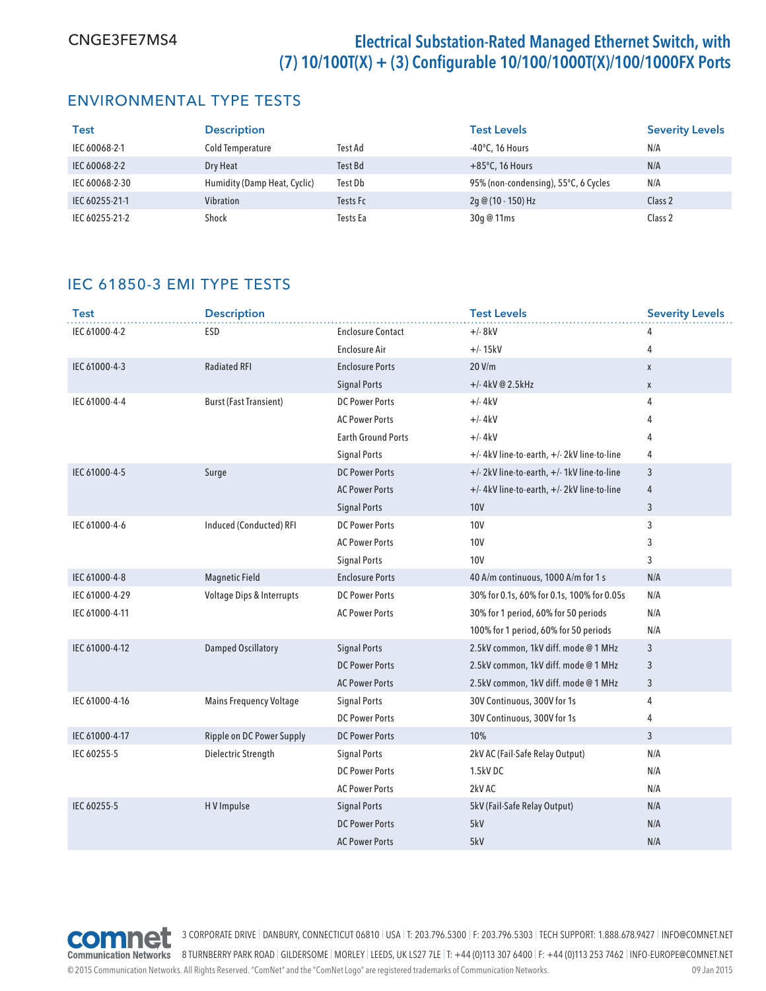## ENVIRONMENTAL TYPE TESTS

| <b>Test</b>    | <b>Description</b>           |          | <b>Test Levels</b>                   | <b>Severity Levels</b> |
|----------------|------------------------------|----------|--------------------------------------|------------------------|
| IEC 60068-2-1  | Cold Temperature             | Test Ad  | $-40^{\circ}$ C, 16 Hours            | N/A                    |
| IEC 60068-2-2  | Dry Heat                     | Test Bd  | $+85^{\circ}$ C, 16 Hours            | N/A                    |
| IEC 60068-2-30 | Humidity (Damp Heat, Cyclic) | Test Db  | 95% (non-condensing), 55°C, 6 Cycles | N/A                    |
| IEC 60255-21-1 | Vibration                    | Tests Fc | 2g @ (10 - 150) Hz                   | Class 2                |
| IEC 60255-21-2 | Shock                        | Tests Ea | 30g @ 11ms                           | Class 2                |

## IEC 61850-3 EMI TYPE TESTS

| <b>Test</b>    | <b>Description</b>             |                           | <b>Test Levels</b>                          | <b>Severity Levels</b> |
|----------------|--------------------------------|---------------------------|---------------------------------------------|------------------------|
| IEC 61000-4-2  | ESD                            | <b>Enclosure Contact</b>  | $+/- 8kV$                                   | 4                      |
|                |                                | <b>Enclosure Air</b>      | $+/- 15kV$                                  | 4                      |
| IEC 61000-4-3  | <b>Radiated RFI</b>            | <b>Enclosure Ports</b>    | 20 V/m                                      | X                      |
|                |                                | <b>Signal Ports</b>       | $+/- 4kV@2.5kHz$                            | $\mathsf{X}$           |
| IEC 61000-4-4  | <b>Burst (Fast Transient)</b>  | <b>DC Power Ports</b>     | $+/- 4kV$                                   | 4                      |
|                |                                | <b>AC Power Ports</b>     | $+/- 4kV$                                   | 4                      |
|                |                                | <b>Earth Ground Ports</b> | $+/- 4kV$                                   | 4                      |
|                |                                | <b>Signal Ports</b>       | +/-4kV line-to-earth, +/-2kV line-to-line   | 4                      |
| IEC 61000-4-5  | Surge                          | <b>DC Power Ports</b>     | +/- 2kV line-to-earth, +/- 1kV line-to-line | 3                      |
|                |                                | <b>AC Power Ports</b>     | +/- 4kV line-to-earth, +/- 2kV line-to-line | $\overline{4}$         |
|                |                                | <b>Signal Ports</b>       | <b>10V</b>                                  | $\mathfrak{Z}$         |
| IEC 61000-4-6  | <b>Induced (Conducted) RFI</b> | <b>DC Power Ports</b>     | <b>10V</b>                                  | 3                      |
|                |                                | <b>AC Power Ports</b>     | <b>10V</b>                                  | 3                      |
|                |                                | <b>Signal Ports</b>       | <b>10V</b>                                  | 3                      |
| IEC 61000-4-8  | <b>Magnetic Field</b>          | <b>Enclosure Ports</b>    | 40 A/m continuous, 1000 A/m for 1 s         | N/A                    |
| IEC 61000-4-29 | Voltage Dips & Interrupts      | <b>DC Power Ports</b>     | 30% for 0.1s, 60% for 0.1s, 100% for 0.05s  | N/A                    |
| IEC 61000-4-11 |                                | <b>AC Power Ports</b>     | 30% for 1 period, 60% for 50 periods        | N/A                    |
|                |                                |                           | 100% for 1 period, 60% for 50 periods       | N/A                    |
| IEC 61000-4-12 | <b>Damped Oscillatory</b>      | <b>Signal Ports</b>       | 2.5kV common, 1kV diff. mode @ 1 MHz        | 3                      |
|                |                                | <b>DC Power Ports</b>     | 2.5kV common, 1kV diff. mode @ 1 MHz        | 3                      |
|                |                                | <b>AC Power Ports</b>     | 2.5kV common, 1kV diff. mode @ 1 MHz        | $\mathfrak{Z}$         |
| IEC 61000-4-16 | <b>Mains Frequency Voltage</b> | <b>Signal Ports</b>       | 30V Continuous, 300V for 1s                 | 4                      |
|                |                                | <b>DC Power Ports</b>     | 30V Continuous, 300V for 1s                 | 4                      |
| IEC 61000-4-17 | Ripple on DC Power Supply      | <b>DC Power Ports</b>     | 10%                                         | $\overline{3}$         |
| IEC 60255-5    | Dielectric Strength            | <b>Signal Ports</b>       | 2kV AC (Fail-Safe Relay Output)             | N/A                    |
|                |                                | <b>DC Power Ports</b>     | 1.5kV DC                                    | N/A                    |
|                |                                | <b>AC Power Ports</b>     | 2kV AC                                      | N/A                    |
| IEC 60255-5    | HV Impulse                     | <b>Signal Ports</b>       | 5kV (Fail-Safe Relay Output)                | N/A                    |
|                |                                | <b>DC Power Ports</b>     | 5kV                                         | N/A                    |
|                |                                | <b>AC Power Ports</b>     | 5kV                                         | N/A                    |



© 2015 Communication Networks. All Rights Reserved. "ComNet" and the "ComNet Logo" are registered trademarks of Communication Networks. 09 Jan 2015 3 CORPORATE DRIVE | DANBURY, CONNECTICUT 06810 | USA | T: 203.796.5300 | F: 203.796.5303 | TECH SUPPORT: 1.888.678.9427 | INFO@COMNET.NET Communication Networks 8 TURNBERRY PARK ROAD | GILDERSOME | MORLEY | LEEDS, UK LS27 7LE | T: +44 (0)113 307 6400 | F: +44 (0)113 253 7462 | INFO-EUROPE@COMNET.NET